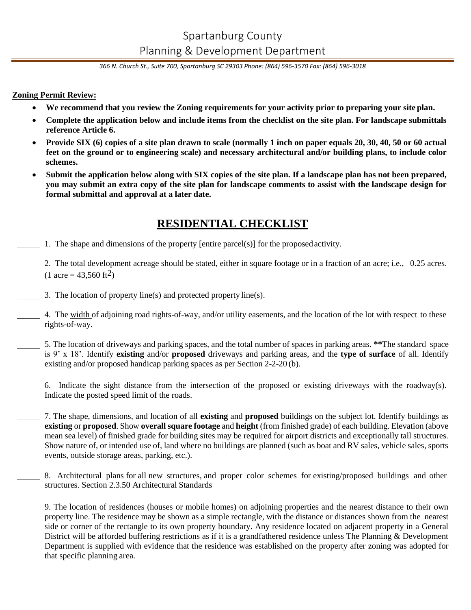# Spartanburg County Planning & Development Department

*366 N. Church St., Suite 700, Spartanburg SC 29303 Phone: (864) 596-3570 Fax: (864) 596-3018*

### **Zoning Permit Review:**

- **We recommend that you review the Zoning requirements for your activity prior to preparing your site plan.**
- **Complete the application below and include items from the checklist on the site plan. For landscape submittals reference Article 6.**
- **Provide SIX (6) copies of a site plan drawn to scale (normally 1 inch on paper equals 20, 30, 40, 50 or 60 actual feet on the ground or to engineering scale) and necessary architectural and/or building plans, to include color schemes.**
- **Submit the application below along with SIX copies of the site plan. If a landscape plan has not been prepared, you may submit an extra copy of the site plan for landscape comments to assist with the landscape design for formal submittal and approval at a later date.**

## **RESIDENTIAL CHECKLIST**

- 1. The shape and dimensions of the property [entire parcel(s)] for the proposedactivity.
	- 2. The total development acreage should be stated, either in square footage or in a fraction of an acre; i.e., 0.25 acres.  $(1 \text{ acre} = 43,560 \text{ ft}^2)$
- 3. The location of property line(s) and protected property line(s).
	- 4. The width of adjoining road rights-of-way, and/or utility easements, and the location of the lot with respect to these rights-of-way.
- 5. The location of driveways and parking spaces, and the total number of spaces in parking areas. **\*\***The standard space is 9' x 18'. Identify **existing** and/or **proposed** driveways and parking areas, and the **type of surface** of all. Identify existing and/or proposed handicap parking spaces as per Section 2-2-20 (b).
	- 6. Indicate the sight distance from the intersection of the proposed or existing driveways with the roadway(s). Indicate the posted speed limit of the roads.
		- 7. The shape, dimensions, and location of all **existing** and **proposed** buildings on the subject lot. Identify buildings as **existing** or **proposed**. Show **overall square footage** and **height** (from finished grade) of each building. Elevation (above mean sea level) of finished grade for building sites may be required for airport districts and exceptionally tall structures. Show nature of, or intended use of, land where no buildings are planned (such as boat and RV sales, vehicle sales, sports events, outside storage areas, parking, etc.).
		- 8. Architectural plans for all new structures, and proper color schemes for existing/proposed buildings and other structures. Section 2.3.50 Architectural Standards
		- 9. The location of residences (houses or mobile homes) on adjoining properties and the nearest distance to their own property line. The residence may be shown as a simple rectangle, with the distance or distances shown from the nearest side or corner of the rectangle to its own property boundary. Any residence located on adjacent property in a General District will be afforded buffering restrictions as if it is a grandfathered residence unless The Planning & Development Department is supplied with evidence that the residence was established on the property after zoning was adopted for that specific planning area.